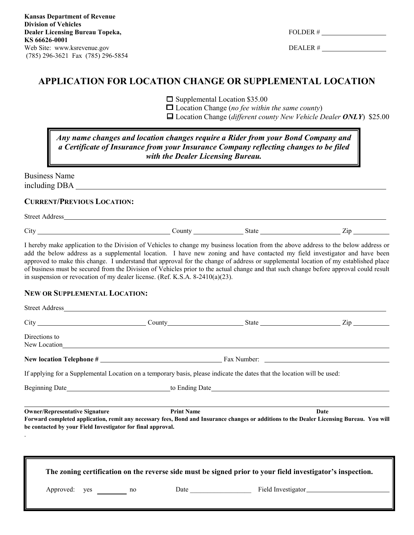| )LDER. |  |
|--------|--|
|--------|--|

DEALER #

## **APPLICATION FOR LOCATION CHANGE OR SUPPLEMENTAL LOCATION**

 $\Box$  Supplemental Location \$35.00

Location Change (*no fee within the same county*)

Location Change (*different county New Vehicle Dealer ONLY*) \$25.00

## *Any name changes and location changes require a Rider from your Bond Company and a Certificate of Insurance from your Insurance Company reflecting changes to be filed with the Dealer Licensing Bureau.*

Business Name including DBA

### **CURRENT/PREVIOUS LOCATION:**

Street Address

City County County State Zip

I hereby make application to the Division of Vehicles to change my business location from the above address to the below address or add the below address as a supplemental location. I have new zoning and have contacted my field investigator and have been approved to make this change. I understand that approval for the change of address or supplemental location of my established place of business must be secured from the Division of Vehicles prior to the actual change and that such change before approval could result in suspension or revocation of my dealer license. (Ref. K.S.A. 8-2410(a)(23).

### **NEW OR SUPPLEMENTAL LOCATION:**

| Directions to                                                                                        |                                                                                                                                                                                                                                |  |                                                                                                                                                   |  |  |
|------------------------------------------------------------------------------------------------------|--------------------------------------------------------------------------------------------------------------------------------------------------------------------------------------------------------------------------------|--|---------------------------------------------------------------------------------------------------------------------------------------------------|--|--|
|                                                                                                      | New Location has been contained by the contact of the contact of the contact of the contact of the contact of the contact of the contact of the contact of the contact of the contact of the contact of the contact of the con |  |                                                                                                                                                   |  |  |
|                                                                                                      |                                                                                                                                                                                                                                |  |                                                                                                                                                   |  |  |
|                                                                                                      | If applying for a Supplemental Location on a temporary basis, please indicate the dates that the location will be used:                                                                                                        |  |                                                                                                                                                   |  |  |
|                                                                                                      |                                                                                                                                                                                                                                |  |                                                                                                                                                   |  |  |
| <b>Owner/Representative Signature</b><br>be contacted by your Field Investigator for final approval. | <b>Print Name</b>                                                                                                                                                                                                              |  | Date<br>Forward completed application, remit any necessary fees, Bond and Insurance changes or additions to the Dealer Licensing Bureau. You will |  |  |
|                                                                                                      | The zoning certification on the reverse side must be signed prior to your field investigator's inspection.                                                                                                                     |  |                                                                                                                                                   |  |  |
| Approved: yes no                                                                                     |                                                                                                                                                                                                                                |  | Date Field Investigator                                                                                                                           |  |  |